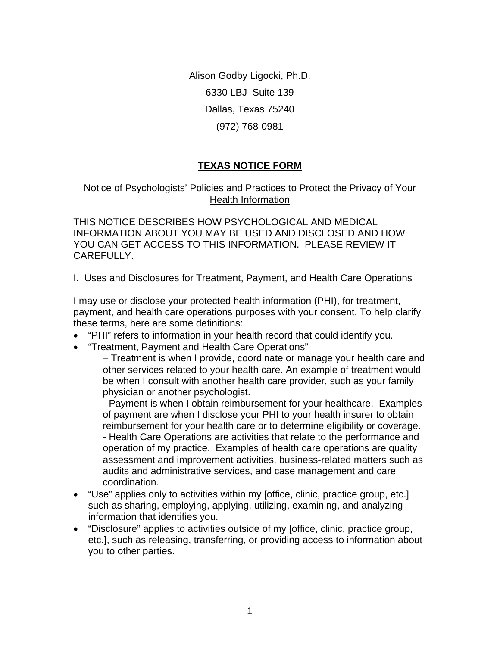Alison Godby Ligocki, Ph.D. 6330 LBJ Suite 139 Dallas, Texas 75240 (972) 768-0981

# **TEXAS NOTICE FORM**

# Notice of Psychologists' Policies and Practices to Protect the Privacy of Your Health Information

THIS NOTICE DESCRIBES HOW PSYCHOLOGICAL AND MEDICAL INFORMATION ABOUT YOU MAY BE USED AND DISCLOSED AND HOW YOU CAN GET ACCESS TO THIS INFORMATION. PLEASE REVIEW IT CAREFULLY.

### I. Uses and Disclosures for Treatment, Payment, and Health Care Operations

I may use or disclose your protected health information (PHI), for treatment, payment, and health care operations purposes with your consent. To help clarify these terms, here are some definitions:

- "PHI" refers to information in your health record that could identify you.
- "Treatment, Payment and Health Care Operations"

– Treatment is when I provide, coordinate or manage your health care and other services related to your health care. An example of treatment would be when I consult with another health care provider, such as your family physician or another psychologist.

- Payment is when I obtain reimbursement for your healthcare. Examples of payment are when I disclose your PHI to your health insurer to obtain reimbursement for your health care or to determine eligibility or coverage. - Health Care Operations are activities that relate to the performance and operation of my practice. Examples of health care operations are quality assessment and improvement activities, business-related matters such as audits and administrative services, and case management and care coordination.

- "Use" applies only to activities within my [office, clinic, practice group, etc.] such as sharing, employing, applying, utilizing, examining, and analyzing information that identifies you.
- "Disclosure" applies to activities outside of my [office, clinic, practice group, etc.], such as releasing, transferring, or providing access to information about you to other parties.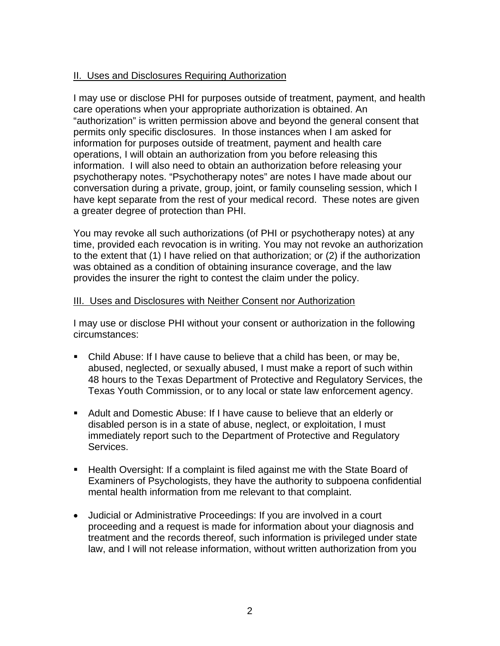# II. Uses and Disclosures Requiring Authorization

I may use or disclose PHI for purposes outside of treatment, payment, and health care operations when your appropriate authorization is obtained. An "authorization" is written permission above and beyond the general consent that permits only specific disclosures. In those instances when I am asked for information for purposes outside of treatment, payment and health care operations, I will obtain an authorization from you before releasing this information. I will also need to obtain an authorization before releasing your psychotherapy notes. "Psychotherapy notes" are notes I have made about our conversation during a private, group, joint, or family counseling session, which I have kept separate from the rest of your medical record. These notes are given a greater degree of protection than PHI.

You may revoke all such authorizations (of PHI or psychotherapy notes) at any time, provided each revocation is in writing. You may not revoke an authorization to the extent that (1) I have relied on that authorization; or (2) if the authorization was obtained as a condition of obtaining insurance coverage, and the law provides the insurer the right to contest the claim under the policy.

#### III. Uses and Disclosures with Neither Consent nor Authorization

I may use or disclose PHI without your consent or authorization in the following circumstances:

- Child Abuse: If I have cause to believe that a child has been, or may be, abused, neglected, or sexually abused, I must make a report of such within 48 hours to the Texas Department of Protective and Regulatory Services, the Texas Youth Commission, or to any local or state law enforcement agency.
- Adult and Domestic Abuse: If I have cause to believe that an elderly or disabled person is in a state of abuse, neglect, or exploitation, I must immediately report such to the Department of Protective and Regulatory Services.
- **Health Oversight: If a complaint is filed against me with the State Board of** Examiners of Psychologists, they have the authority to subpoena confidential mental health information from me relevant to that complaint.
- Judicial or Administrative Proceedings: If you are involved in a court proceeding and a request is made for information about your diagnosis and treatment and the records thereof, such information is privileged under state law, and I will not release information, without written authorization from you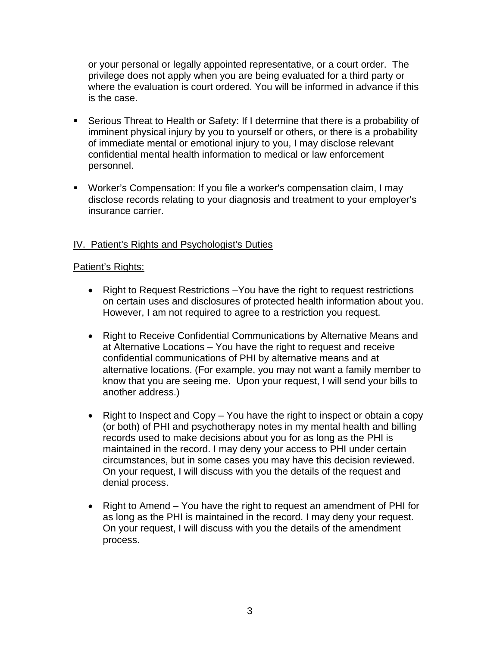or your personal or legally appointed representative, or a court order. The privilege does not apply when you are being evaluated for a third party or where the evaluation is court ordered. You will be informed in advance if this is the case.

- Serious Threat to Health or Safety: If I determine that there is a probability of imminent physical injury by you to yourself or others, or there is a probability of immediate mental or emotional injury to you, I may disclose relevant confidential mental health information to medical or law enforcement personnel.
- Worker's Compensation: If you file a worker's compensation claim, I may disclose records relating to your diagnosis and treatment to your employer's insurance carrier.

# IV. Patient's Rights and Psychologist's Duties

#### Patient's Rights:

- Right to Request Restrictions –You have the right to request restrictions on certain uses and disclosures of protected health information about you. However, I am not required to agree to a restriction you request.
- Right to Receive Confidential Communications by Alternative Means and at Alternative Locations – You have the right to request and receive confidential communications of PHI by alternative means and at alternative locations. (For example, you may not want a family member to know that you are seeing me. Upon your request, I will send your bills to another address.)
- Right to Inspect and Copy You have the right to inspect or obtain a copy (or both) of PHI and psychotherapy notes in my mental health and billing records used to make decisions about you for as long as the PHI is maintained in the record. I may deny your access to PHI under certain circumstances, but in some cases you may have this decision reviewed. On your request, I will discuss with you the details of the request and denial process.
- Right to Amend You have the right to request an amendment of PHI for as long as the PHI is maintained in the record. I may deny your request. On your request, I will discuss with you the details of the amendment process.